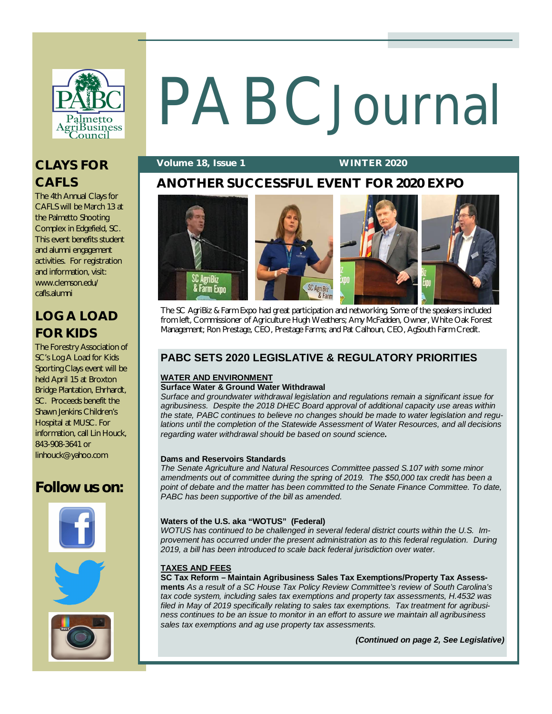

# PABCJournal

### **Volume 18, Issue 1 WINTER 2020**

# **ANOTHER SUCCESSFUL EVENT FOR 2020 EXPO**

The 4th Annual Clays for CAFLS will be March 13 at the Palmetto Shooting Complex in Edgefield, SC. This event benefits student and alumni engagement activities. For registration and information, visit: [www.clemson.edu/](http://www.clemson.edu/) cafls.alumni

**CLAYS FOR** 

**CAFLS** 

# **LOG A LOAD FOR KIDS**

The Forestry Association of SC's Log A Load for Kids Sporting Clays event will be held April 15 at Broxton Bridge Plantation, Ehrhardt, SC. Proceeds benefit the Shawn Jenkins Children's Hospital at MUSC. For information, call Lin Houck, 843-908-3641 or [linhouck@yahoo.com](mailto:linhouck@yahoo.com)

# **Follow us on:**









The SC AgriBiz & Farm Expo had great participation and networking. Some of the speakers included from left, Commissioner of Agriculture Hugh Weathers; Amy McFadden, Owner, White Oak Forest Management; Ron Prestage, CEO, Prestage Farms; and Pat Calhoun, CEO, AgSouth Farm Credit.

# **PABC SETS 2020 LEGISLATIVE & REGULATORY PRIORITIES**

### **WATER AND ENVIRONMENT**

### **Surface Water & Ground Water Withdrawal**

*Surface and groundwater withdrawal legislation and regulations remain a significant issue for agribusiness. Despite the 2018 DHEC Board approval of additional capacity use areas within the state, PABC continues to believe no changes should be made to water legislation and regulations until the completion of the Statewide Assessment of Water Resources, and all decisions regarding water withdrawal should be based on sound science.*

### **Dams and Reservoirs Standards**

*The Senate Agriculture and Natural Resources Committee passed S.107 with some minor amendments out of committee during the spring of 2019. The \$50,000 tax credit has been a*  point of debate and the matter has been committed to the Senate Finance Committee. To date, *PABC has been supportive of the bill as amended.*

### **Waters of the U.S. aka "WOTUS" (Federal)**

*WOTUS has continued to be challenged in several federal district courts within the U.S. Improvement has occurred under the present administration as to this federal regulation. During 2019, a bill has been introduced to scale back federal jurisdiction over water.*

### **TAXES AND FEES**

**SC Tax Reform – Maintain Agribusiness Sales Tax Exemptions/Property Tax Assessments** *As a result of a SC House Tax Policy Review Committee's review of South Carolina's tax code system, including sales tax exemptions and property tax assessments, H.4532 was filed in May of 2019 specifically relating to sales tax exemptions. Tax treatment for agribusiness continues to be an issue to monitor in an effort to assure we maintain all agribusiness sales tax exemptions and ag use property tax assessments.* 

*(Continued on page 2, See Legislative)*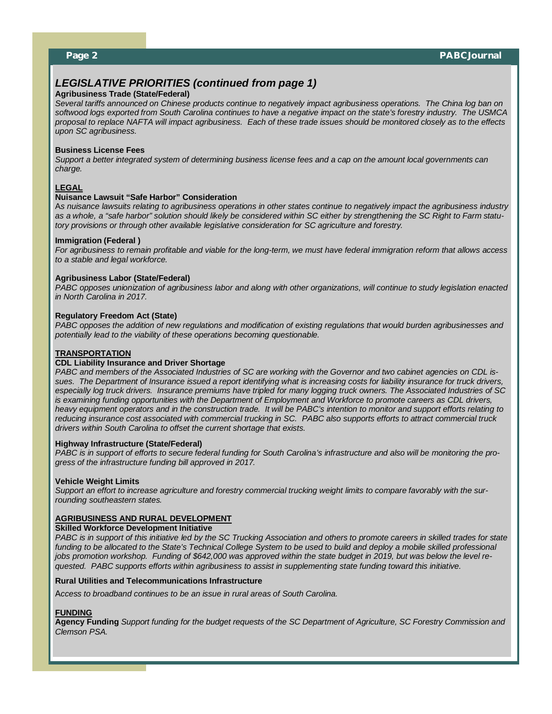## *LEGISLATIVE PRIORITIES (continued from page 1)*

### **Agribusiness Trade (State/Federal)**

*Several tariffs announced on Chinese products continue to negatively impact agribusiness operations. The China log ban on softwood logs exported from South Carolina continues to have a negative impact on the state's forestry industry. The USMCA proposal to replace NAFTA will impact agribusiness. Each of these trade issues should be monitored closely as to the effects upon SC agribusiness.*

### **Business License Fees**

*Support a better integrated system of determining business license fees and a cap on the amount local governments can charge.*

### **LEGAL**

### **Nuisance Lawsuit "Safe Harbor" Consideration**

A*s nuisance lawsuits relating to agribusiness operations in other states continue to negatively impact the agribusiness industry as a whole, a "safe harbor" solution should likely be considered within SC either by strengthening the SC Right to Farm statutory provisions or through other available legislative consideration for SC agriculture and forestry.*

### **Immigration (Federal )**

*For agribusiness to remain profitable and viable for the long-term, we must have federal immigration reform that allows access to a stable and legal workforce.*

### **Agribusiness Labor (State/Federal)**

*PABC opposes unionization of agribusiness labor and along with other organizations, will continue to study legislation enacted in North Carolina in 2017.*

### **Regulatory Freedom Act (State)**

*PABC opposes the addition of new regulations and modification of existing regulations that would burden agribusinesses and potentially lead to the viability of these operations becoming questionable.* 

### **TRANSPORTATION**

### **CDL Liability Insurance and Driver Shortage**

*PABC and members of the Associated Industries of SC are working with the Governor and two cabinet agencies on CDL issues. The Department of Insurance issued a report identifying what is increasing costs for liability insurance for truck drivers, especially log truck drivers. Insurance premiums have tripled for many logging truck owners. The Associated Industries of SC*  is examining funding opportunities with the Department of Employment and Workforce to promote careers as CDL drivers, *heavy equipment operators and in the construction trade. It will be PABC's intention to monitor and support efforts relating to reducing insurance cost associated with commercial trucking in SC. PABC also supports efforts to attract commercial truck drivers within South Carolina to offset the current shortage that exists.*

### **Highway Infrastructure (State/Federal)**

*PABC is in support of efforts to secure federal funding for South Carolina's infrastructure and also will be monitoring the progress of the infrastructure funding bill approved in 2017.*

### **Vehicle Weight Limits**

*Support an effort to increase agriculture and forestry commercial trucking weight limits to compare favorably with the surrounding southeastern states.*

### **AGRIBUSINESS AND RURAL DEVELOPMENT**

### **Skilled Workforce Development Initiative**

*PABC is in support of this initiative led by the SC Trucking Association and others to promote careers in skilled trades for state funding to be allocated to the State's Technical College System to be used to build and deploy a mobile skilled professional jobs promotion workshop. Funding of \$642,000 was approved within the state budget in 2019, but was below the level requested. PABC supports efforts within agribusiness to assist in supplementing state funding toward this initiative.*

### **Rural Utilities and Telecommunications Infrastructure**

A*ccess to broadband continues to be an issue in rural areas of South Carolina.* 

### **FUNDING**

**Agency Funding** *Support funding for the budget requests of the SC Department of Agriculture, SC Forestry Commission and Clemson PSA.*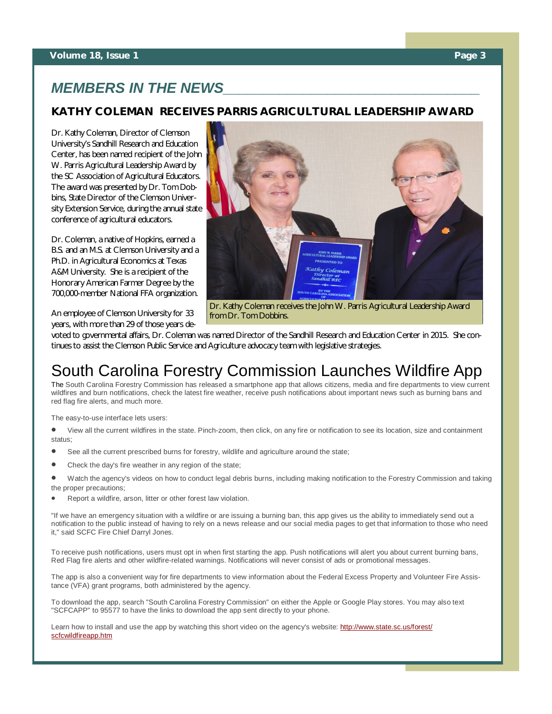### **Volume 18, Issue 1 Page 3**

# *MEMBERS IN THE NEWS\_\_\_\_\_\_\_\_\_\_\_\_\_\_\_\_\_\_\_\_\_\_\_\_\_\_\_\_\_\_\_\_*

### **KATHY COLEMAN RECEIVES PARRIS AGRICULTURAL LEADERSHIP AWARD**

Dr. Kathy Coleman, Director of Clemson University's Sandhill Research and Education Center, has been named recipient of the John W. Parris Agricultural Leadership Award by the SC Association of Agricultural Educators. The award was presented by Dr. Tom Dobbins, State Director of the Clemson University Extension Service, during the annual state conference of agricultural educators.

Dr. Coleman, a native of Hopkins, earned a B.S. and an M.S. at Clemson University and a Ph.D. in Agricultural Economics at Texas A&M University. She is a recipient of the Honorary American Farmer Degree by the 700,000-member National FFA organization.

An employee of Clemson University for 33 years, with more than 29 of those years de-



Dr. Kathy Coleman receives the John W. Parris Agricultural Leadership Award from Dr. Tom Dobbins.

voted to governmental affairs, Dr. Coleman was named Director of the Sandhill Research and Education Center in 2015. She continues to assist the Clemson Public Service and Agriculture advocacy team with legislative strategies.

# South Carolina Forestry Commission Launches Wildfire App

The South Carolina Forestry Commission has released a smartphone app that allows citizens, media and fire departments to view current wildfires and burn notifications, check the latest fire weather, receive push notifications about important news such as burning bans and red flag fire alerts, and much more.

The easy-to-use interface lets users:

 View all the current wildfires in the state. Pinch-zoom, then click, on any fire or notification to see its location, size and containment status;

- See all the current prescribed burns for forestry, wildlife and agriculture around the state;
- Check the day's fire weather in any region of the state;
- Watch the agency's videos on how to conduct legal debris burns, including making notification to the Forestry Commission and taking the proper precautions;
- Report a wildfire, arson, litter or other forest law violation.

"If we have an emergency situation with a wildfire or are issuing a burning ban, this app gives us the ability to immediately send out a notification to the public instead of having to rely on a news release and our social media pages to get that information to those who need it," said SCFC Fire Chief Darryl Jones.

To receive push notifications, users must opt in when first starting the app. Push notifications will alert you about current burning bans, Red Flag fire alerts and other wildfire-related warnings. Notifications will never consist of ads or promotional messages.

The app is also a convenient way for fire departments to view information about the Federal Excess Property and Volunteer Fire Assistance (VFA) grant programs, both administered by the agency.

To download the app, search "South Carolina Forestry Commission" on either the Apple or Google Play stores. You may also text "SCFCAPP" to 95577 to have the links to download the app sent directly to your phone.

Learn how to install and use the app by watching this short video on the agency's website: <http://www.state.sc.us/forest/> scfcwildfireapp.htm